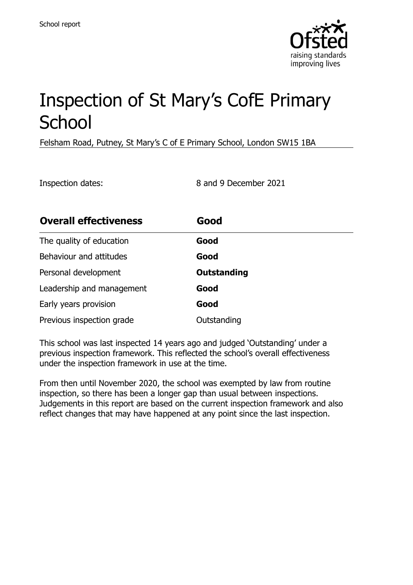

# Inspection of St Mary's CofE Primary **School**

Felsham Road, Putney, St Mary's C of E Primary School, London SW15 1BA

Inspection dates: 8 and 9 December 2021

| <b>Overall effectiveness</b> | Good               |
|------------------------------|--------------------|
| The quality of education     | Good               |
| Behaviour and attitudes      | Good               |
| Personal development         | <b>Outstanding</b> |
| Leadership and management    | Good               |
| Early years provision        | Good               |
| Previous inspection grade    | Outstanding        |

This school was last inspected 14 years ago and judged 'Outstanding' under a previous inspection framework. This reflected the school's overall effectiveness under the inspection framework in use at the time.

From then until November 2020, the school was exempted by law from routine inspection, so there has been a longer gap than usual between inspections. Judgements in this report are based on the current inspection framework and also reflect changes that may have happened at any point since the last inspection.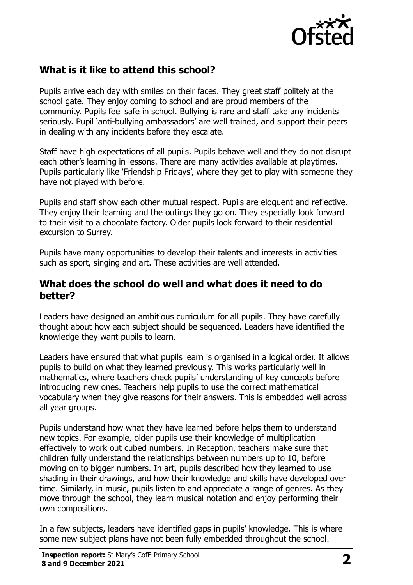

# **What is it like to attend this school?**

Pupils arrive each day with smiles on their faces. They greet staff politely at the school gate. They enjoy coming to school and are proud members of the community. Pupils feel safe in school. Bullying is rare and staff take any incidents seriously. Pupil 'anti-bullying ambassadors' are well trained, and support their peers in dealing with any incidents before they escalate.

Staff have high expectations of all pupils. Pupils behave well and they do not disrupt each other's learning in lessons. There are many activities available at playtimes. Pupils particularly like 'Friendship Fridays', where they get to play with someone they have not played with before.

Pupils and staff show each other mutual respect. Pupils are eloquent and reflective. They enjoy their learning and the outings they go on. They especially look forward to their visit to a chocolate factory. Older pupils look forward to their residential excursion to Surrey.

Pupils have many opportunities to develop their talents and interests in activities such as sport, singing and art. These activities are well attended.

#### **What does the school do well and what does it need to do better?**

Leaders have designed an ambitious curriculum for all pupils. They have carefully thought about how each subject should be sequenced. Leaders have identified the knowledge they want pupils to learn.

Leaders have ensured that what pupils learn is organised in a logical order. It allows pupils to build on what they learned previously. This works particularly well in mathematics, where teachers check pupils' understanding of key concepts before introducing new ones. Teachers help pupils to use the correct mathematical vocabulary when they give reasons for their answers. This is embedded well across all year groups.

Pupils understand how what they have learned before helps them to understand new topics. For example, older pupils use their knowledge of multiplication effectively to work out cubed numbers. In Reception, teachers make sure that children fully understand the relationships between numbers up to 10, before moving on to bigger numbers. In art, pupils described how they learned to use shading in their drawings, and how their knowledge and skills have developed over time. Similarly, in music, pupils listen to and appreciate a range of genres. As they move through the school, they learn musical notation and enjoy performing their own compositions.

In a few subjects, leaders have identified gaps in pupils' knowledge. This is where some new subject plans have not been fully embedded throughout the school.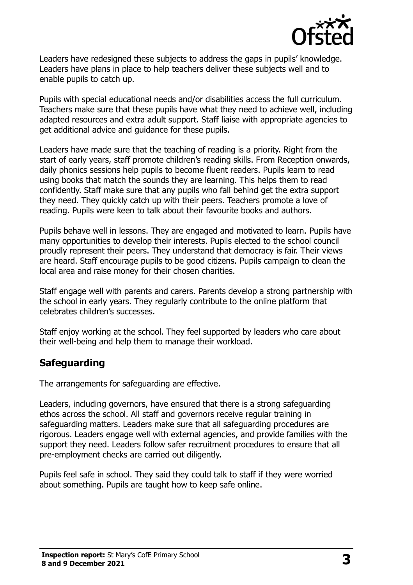

Leaders have redesigned these subjects to address the gaps in pupils' knowledge. Leaders have plans in place to help teachers deliver these subjects well and to enable pupils to catch up.

Pupils with special educational needs and/or disabilities access the full curriculum. Teachers make sure that these pupils have what they need to achieve well, including adapted resources and extra adult support. Staff liaise with appropriate agencies to get additional advice and guidance for these pupils.

Leaders have made sure that the teaching of reading is a priority. Right from the start of early years, staff promote children's reading skills. From Reception onwards, daily phonics sessions help pupils to become fluent readers. Pupils learn to read using books that match the sounds they are learning. This helps them to read confidently. Staff make sure that any pupils who fall behind get the extra support they need. They quickly catch up with their peers. Teachers promote a love of reading. Pupils were keen to talk about their favourite books and authors.

Pupils behave well in lessons. They are engaged and motivated to learn. Pupils have many opportunities to develop their interests. Pupils elected to the school council proudly represent their peers. They understand that democracy is fair. Their views are heard. Staff encourage pupils to be good citizens. Pupils campaign to clean the local area and raise money for their chosen charities.

Staff engage well with parents and carers. Parents develop a strong partnership with the school in early years. They regularly contribute to the online platform that celebrates children's successes.

Staff enjoy working at the school. They feel supported by leaders who care about their well-being and help them to manage their workload.

# **Safeguarding**

The arrangements for safeguarding are effective.

Leaders, including governors, have ensured that there is a strong safeguarding ethos across the school. All staff and governors receive regular training in safeguarding matters. Leaders make sure that all safeguarding procedures are rigorous. Leaders engage well with external agencies, and provide families with the support they need. Leaders follow safer recruitment procedures to ensure that all pre-employment checks are carried out diligently.

Pupils feel safe in school. They said they could talk to staff if they were worried about something. Pupils are taught how to keep safe online.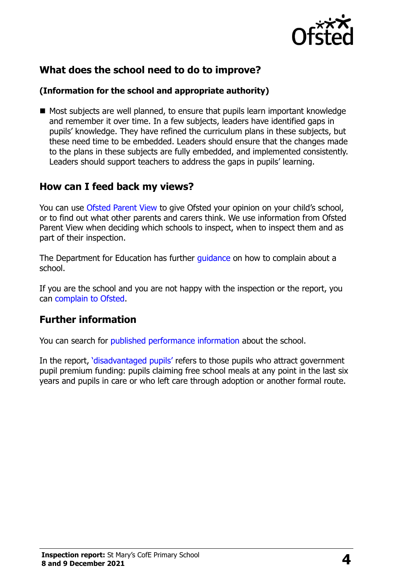

# **What does the school need to do to improve?**

#### **(Information for the school and appropriate authority)**

■ Most subjects are well planned, to ensure that pupils learn important knowledge and remember it over time. In a few subjects, leaders have identified gaps in pupils' knowledge. They have refined the curriculum plans in these subjects, but these need time to be embedded. Leaders should ensure that the changes made to the plans in these subjects are fully embedded, and implemented consistently. Leaders should support teachers to address the gaps in pupils' learning.

## **How can I feed back my views?**

You can use Ofsted Parent View to give Ofsted your opinion on your child's school, or to find out what other parents and carers think. We use information from Ofsted Parent View when deciding which schools to inspect, when to inspect them and as part of their inspection.

The Department for Education has further quidance on how to complain about a school.

If you are the school and you are not happy with the inspection or the report, you can complain to Ofsted.

## **Further information**

You can search for published performance information about the school.

In the report, 'disadvantaged pupils' refers to those pupils who attract government pupil premium funding: pupils claiming free school meals at any point in the last six years and pupils in care or who left care through adoption or another formal route.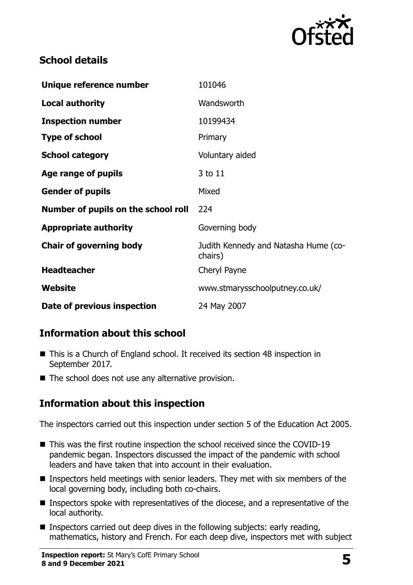

# **School details**

| Unique reference number             | 101046                                          |
|-------------------------------------|-------------------------------------------------|
| <b>Local authority</b>              | Wandsworth                                      |
| <b>Inspection number</b>            | 10199434                                        |
| <b>Type of school</b>               | Primary                                         |
| <b>School category</b>              | Voluntary aided                                 |
| Age range of pupils                 | 3 to 11                                         |
| <b>Gender of pupils</b>             | Mixed                                           |
| Number of pupils on the school roll | 224                                             |
| <b>Appropriate authority</b>        | Governing body                                  |
| <b>Chair of governing body</b>      | Judith Kennedy and Natasha Hume (co-<br>chairs) |
| <b>Headteacher</b>                  | Cheryl Payne                                    |
| Website                             | www.stmarysschoolputney.co.uk/                  |
| Date of previous inspection         | 24 May 2007                                     |

# **Information about this school**

- This is a Church of England school. It received its section 48 inspection in September 2017.
- The school does not use any alternative provision.

# **Information about this inspection**

The inspectors carried out this inspection under section 5 of the Education Act 2005.

- This was the first routine inspection the school received since the COVID-19 pandemic began. Inspectors discussed the impact of the pandemic with school leaders and have taken that into account in their evaluation.
- Inspectors held meetings with senior leaders. They met with six members of the local governing body, including both co-chairs.
- Inspectors spoke with representatives of the diocese, and a representative of the local authority.
- Inspectors carried out deep dives in the following subjects: early reading, mathematics, history and French. For each deep dive, inspectors met with subject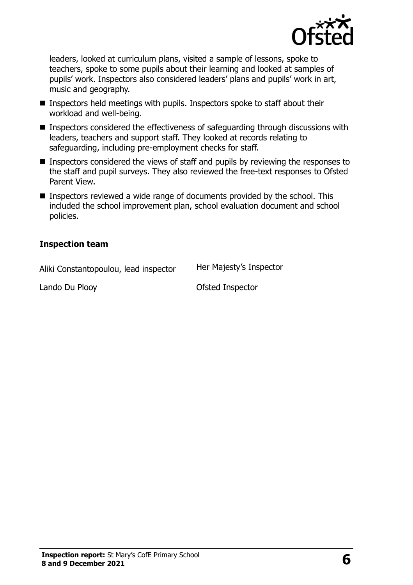

leaders, looked at curriculum plans, visited a sample of lessons, spoke to teachers, spoke to some pupils about their learning and looked at samples of pupils' work. Inspectors also considered leaders' plans and pupils' work in art, music and geography.

- Inspectors held meetings with pupils. Inspectors spoke to staff about their workload and well-being.
- Inspectors considered the effectiveness of safeguarding through discussions with leaders, teachers and support staff. They looked at records relating to safeguarding, including pre-employment checks for staff.
- Inspectors considered the views of staff and pupils by reviewing the responses to the staff and pupil surveys. They also reviewed the free-text responses to Ofsted Parent View.
- Inspectors reviewed a wide range of documents provided by the school. This included the school improvement plan, school evaluation document and school policies.

#### **Inspection team**

Aliki Constantopoulou, lead inspector Her Majesty's Inspector

Lando Du Plooy **Canadia Contract Contract Contract Contract Contract Contract Contract Contract Contract Contract Contract Contract Contract Contract Contract Contract Contract Contract Contract Contract Contract Contract**